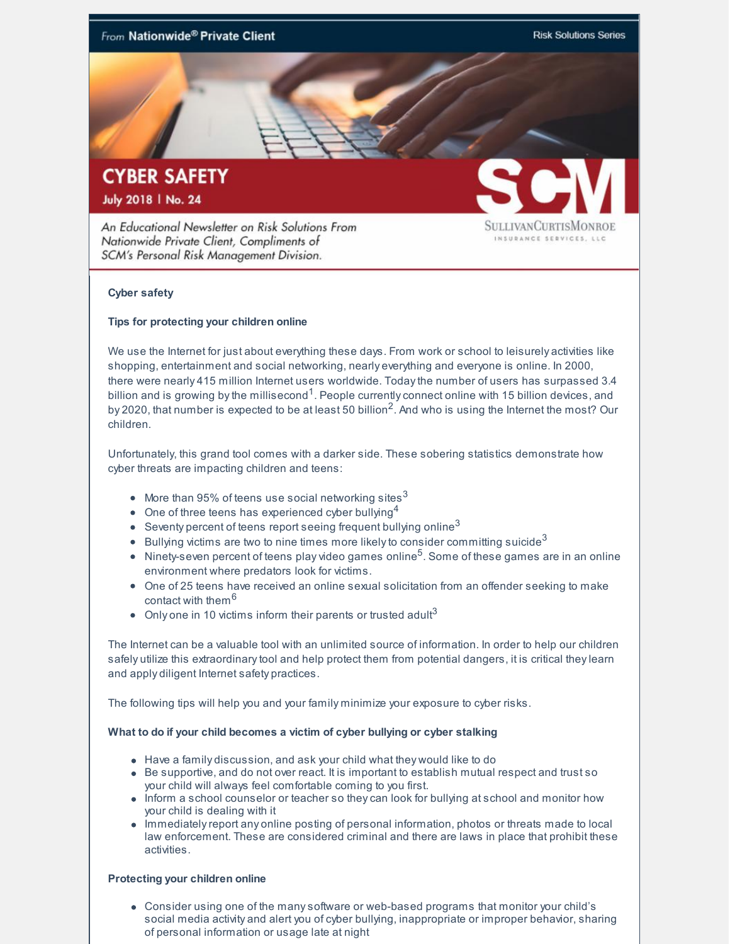

## **Cyber safety**

### **Tips for protecting your children online**

SCM's Personal Risk Management Division.

We use the Internet for just about everything these days. From work or school to leisurely activities like shopping, entertainment and social networking, nearly everything and everyone is online. In 2000, there were nearly 415 million Internet users worldwide. Todaythe number of users has surpassed 3.4 billion and is growing by the millisecond $^1$ . People currently connect online with 15 billion devices, and by 2020, that number is expected to be at least 50 billion<sup>2</sup>. And who is using the Internet the most? Our children.

Unfortunately, this grand tool comes with a darker side. These sobering statistics demonstrate how cyber threats are impacting children and teens:

- More than 95% of teens use social networking sites $^3$
- One of three teens has experienced cyber bullying<sup>4</sup>
- Seventy percent of teens report seeing frequent bullying online $^3$
- Bullying victims are two to nine times more likely to consider committing suicide $^3$
- Ninety-seven percent of teens play video games online<sup>5</sup>. Some of these games are in an online environment where predators look for victims.
- One of 25 teens have received an online sexual solicitation from an offender seeking to make contact with them<sup>6</sup>
- Only one in 10 victims inform their parents or trusted adult $3$

The Internet can be a valuable tool with an unlimited source of information. In order to help our children safely utilize this extraordinarytool and help protect them from potential dangers, it is critical theylearn and apply diligent Internet safety practices.

The following tips will help you and your family minimize your exposure to cyber risks.

#### **What to do if your child becomes a victim of cyber bullying or cyber stalking**

- Have a family discussion, and ask your child what they would like to do
- Be supportive, and do not over react. It is important to establish mutual respect and trust so your child will always feel comfortable coming to you first.
- Inform a school counselor or teacher so they can look for bullying at school and monitor how your child is dealing with it
- Immediatelyreport any online posting of personal information, photos or threats made to local law enforcement. These are considered criminal and there are laws in place that prohibit these activities.

#### **Protecting your children online**

Consider using one of the manysoftware or web-based programs that monitor your child's social media activity and alert you of cyber bullying, inappropriate or improper behavior, sharing of personal information or usage late at night